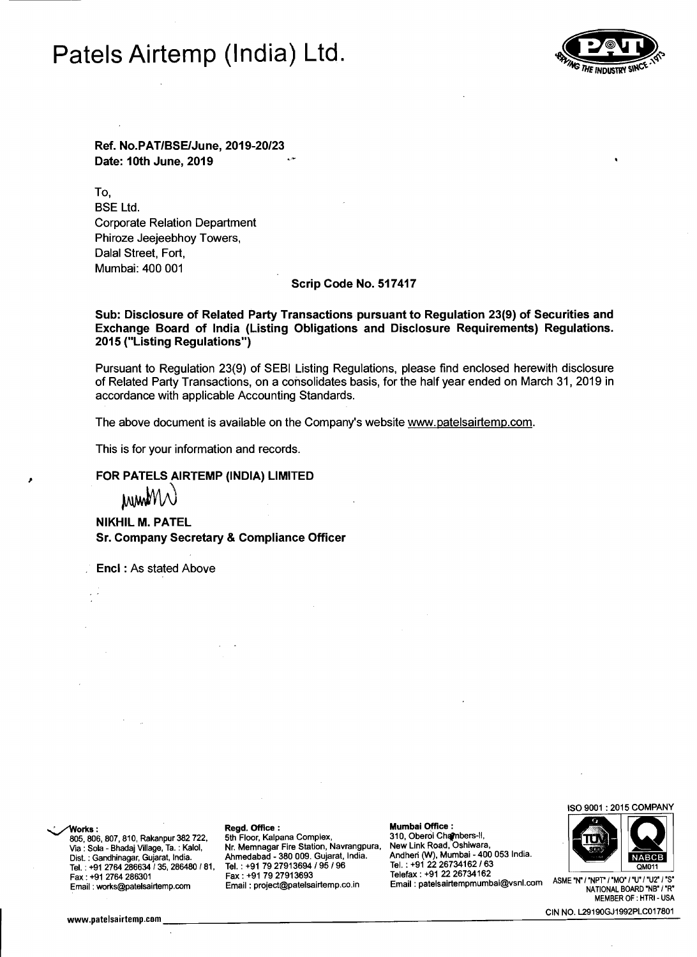## Patels Airtemp (India) Ltd.



Ref, No,PAT/BSElJune, *2019-20/23* Date: 10th June, 2019

To, BSE Ltd. Corporate Relation Department Phiroze Jeejeebhoy Towers, Dalal Street, Fort, Mumbai: 400 001

### Scrip Code No, 517417

Sub: Disclosure of Related Party Transactions pursuant to Regulation 23(9) of Securities and Exchange Board of India (Listing Obligations and Disclosure Requirements) Regulations, 2015 ("Listing Regulations")

Pursuant to Regulation 23(9) of SEBI Listing Regulations, please find enclosed herewith disclosure of Related Party Transactions, on a consolidates basis, for the half year ended on March 31, 2019 in accordance with applicable Accounting Standards.

The above document is available on the Company's website www.patelsairtemp.com.

This is for your information and records.

FOR PATELS AIRTEMP (INDIA) LIMITED<br>MWWW<br>NIKHIL M. PATEL **NIKHIL M. PATEL** Sr, Company Secretary & Compliance Officer

Encl : As stated Above

Tel. . +91 2764 286634 / 35, 286480 / 81, Dist. : Gandhinagar, Gujarat, India.

805, 806, 807, 810, Rakanpur 382 722, 5th Floor, Kalpana Complex, 310, Oberoi Chambers-II,<br>Via:Sola - Bhadai Village, Ta:Kalol Nr. Memnagar Fire Station, Navrangpura, New Link Road, Oshiwara, Via : Sola - Bhadaj Village, Ta. : Kalol, Nr. Memnagar Fire Station, Navrangpura, Ahmedabad - 380 009. Gujarat, India. Tel. : +91 79 27913694 *195 196*  Telefax: +91 22 26734162<br>Telefax: +91 22 26734162 ASME 'N' I'TWO' / "U'' I'S' I'S Fax: +91 79 27913693 Fax: +91 2764 286301<br>"Harrich Laters and Email: project@patelsairtemp.co.in Email: patelsairtempmumbai@vsnl.com ASME ' Email: project@patelsairtemp.co.in

~orks: . Regd. Office : Mumbai Office: Andhen (W), Mumbai - 400 053 India. Mumbai Office :<br>S10, Oberoi Chambers-II,<br>New Link Road, Oshiwara,<br>Tel. : +91 22 26734162 / 63<br>Tel. : +91 22 26734162 / 63

ISO 9001 : 2015 COMPANY



MEMBER OF : HTRI- USA CIN NO. L29190GJ1992PLC017801<br>MEMBER OF : HTRI - USA<br>CIN NO. L29190GJ1992PLC017801